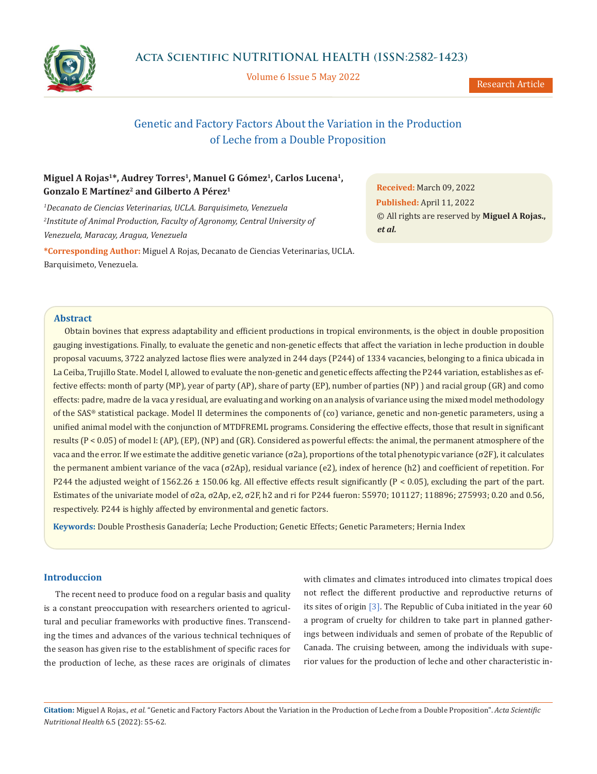

Volume 6 Issue 5 May 2022

Research Article

# Genetic and Factory Factors About the Variation in the Production of Leche from a Double Proposition

# Miguel A Rojas<sup>1\*</sup>, Audrey Torres<sup>1</sup>, Manuel G Gómez<sup>1</sup>, Carlos Lucena<sup>1</sup>, **Gonzalo E Martínez2 and Gilberto A Pérez1**

*1 Decanato de Ciencias Veterinarias, UCLA. Barquisimeto, Venezuela 2 Institute of Animal Production, Faculty of Agronomy, Central University of Venezuela, Maracay, Aragua, Venezuela*

**\*Corresponding Author:** Miguel A Rojas, Decanato de Ciencias Veterinarias, UCLA. Barquisimeto, Venezuela.

**Received:** March 09, 2022 **Published:** April 11, 2022 © All rights are reserved by **Miguel A Rojas.,**  *et al.*

### **Abstract**

Obtain bovines that express adaptability and efficient productions in tropical environments, is the object in double proposition gauging investigations. Finally, to evaluate the genetic and non-genetic effects that affect the variation in leche production in double proposal vacuums, 3722 analyzed lactose flies were analyzed in 244 days (P244) of 1334 vacancies, belonging to a finica ubicada in La Ceiba, Trujillo State. Model I, allowed to evaluate the non-genetic and genetic effects affecting the P244 variation, establishes as effective effects: month of party (MP), year of party (AP), share of party (EP), number of parties (NP) ) and racial group (GR) and como effects: padre, madre de la vaca y residual, are evaluating and working on an analysis of variance using the mixed model methodology of the SAS® statistical package. Model II determines the components of (co) variance, genetic and non-genetic parameters, using a unified animal model with the conjunction of MTDFREML programs. Considering the effective effects, those that result in significant results  $(P < 0.05)$  of model I:  $(AP)$ ,  $(EP)$ ,  $(NP)$  and  $(GR)$ . Considered as powerful effects: the animal, the permanent atmosphere of the vaca and the error. If we estimate the additive genetic variance (σ2a), proportions of the total phenotypic variance (σ2F), it calculates the permanent ambient variance of the vaca (σ2Ap), residual variance (e2), index of herence (h2) and coefficient of repetition. For P244 the adjusted weight of 1562.26  $\pm$  150.06 kg. All effective effects result significantly (P < 0.05), excluding the part of the part. Estimates of the univariate model of σ2a, σ2Ap, e2, σ2F, h2 and ri for P244 fueron: 55970; 101127; 118896; 275993; 0.20 and 0.56, respectively. P244 is highly affected by environmental and genetic factors.

**Keywords:** Double Prosthesis Ganadería; Leche Production; Genetic Effects; Genetic Parameters; Hernia Index

## **Introduccion**

The recent need to produce food on a regular basis and quality is a constant preoccupation with researchers oriented to agricultural and peculiar frameworks with productive fines. Transcending the times and advances of the various technical techniques of the season has given rise to the establishment of specific races for the production of leche, as these races are originals of climates with climates and climates introduced into climates tropical does not reflect the different productive and reproductive returns of its sites of origin [3]. The Republic of Cuba initiated in the year 60 a program of cruelty for children to take part in planned gatherings between individuals and semen of probate of the Republic of Canada. The cruising between, among the individuals with superior values for the production of leche and other characteristic in-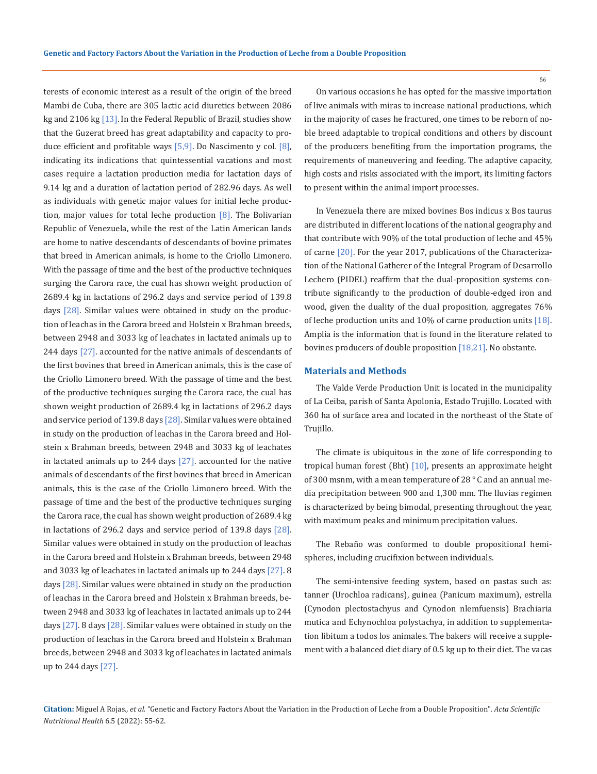terests of economic interest as a result of the origin of the breed Mambi de Cuba, there are 305 lactic acid diuretics between 2086 kg and 2106 kg [13]. In the Federal Republic of Brazil, studies show that the Guzerat breed has great adaptability and capacity to produce efficient and profitable ways  $[5,9]$ . Do Nascimento y col.  $[8]$ , indicating its indications that quintessential vacations and most cases require a lactation production media for lactation days of 9.14 kg and a duration of lactation period of 282.96 days. As well as individuals with genetic major values for initial leche production, major values for total leche production  $[8]$ . The Bolivarian Republic of Venezuela, while the rest of the Latin American lands are home to native descendants of descendants of bovine primates that breed in American animals, is home to the Criollo Limonero. With the passage of time and the best of the productive techniques surging the Carora race, the cual has shown weight production of 2689.4 kg in lactations of 296.2 days and service period of 139.8 days [28]. Similar values were obtained in study on the production of leachas in the Carora breed and Holstein x Brahman breeds, between 2948 and 3033 kg of leachates in lactated animals up to 244 days [27]. accounted for the native animals of descendants of the first bovines that breed in American animals, this is the case of the Criollo Limonero breed. With the passage of time and the best of the productive techniques surging the Carora race, the cual has shown weight production of 2689.4 kg in lactations of 296.2 days and service period of 139.8 days  $[28]$ . Similar values were obtained in study on the production of leachas in the Carora breed and Holstein x Brahman breeds, between 2948 and 3033 kg of leachates in lactated animals up to 244 days [27]. accounted for the native animals of descendants of the first bovines that breed in American animals, this is the case of the Criollo Limonero breed. With the passage of time and the best of the productive techniques surging the Carora race, the cual has shown weight production of 2689.4 kg in lactations of 296.2 days and service period of 139.8 days  $[28]$ . Similar values were obtained in study on the production of leachas in the Carora breed and Holstein x Brahman breeds, between 2948 and 3033 kg of leachates in lactated animals up to 244 days [27]. 8 days [28]. Similar values were obtained in study on the production of leachas in the Carora breed and Holstein x Brahman breeds, between 2948 and 3033 kg of leachates in lactated animals up to 244 days [27]. 8 days [28]. Similar values were obtained in study on the production of leachas in the Carora breed and Holstein x Brahman breeds, between 2948 and 3033 kg of leachates in lactated animals up to 244 days [27].

On various occasions he has opted for the massive importation of live animals with miras to increase national productions, which in the majority of cases he fractured, one times to be reborn of noble breed adaptable to tropical conditions and others by discount of the producers benefiting from the importation programs, the requirements of maneuvering and feeding. The adaptive capacity, high costs and risks associated with the import, its limiting factors to present within the animal import processes.

In Venezuela there are mixed bovines Bos indicus x Bos taurus are distributed in different locations of the national geography and that contribute with 90% of the total production of leche and 45% of carne [20]. For the year 2017, publications of the Characterization of the National Gatherer of the Integral Program of Desarrollo Lechero (PIDEL) reaffirm that the dual-proposition systems contribute significantly to the production of double-edged iron and wood, given the duality of the dual proposition, aggregates 76% of leche production units and 10% of carne production units [18]. Amplia is the information that is found in the literature related to bovines producers of double proposition [18,21]. No obstante.

#### **Materials and Methods**

The Valde Verde Production Unit is located in the municipality of La Ceiba, parish of Santa Apolonia, Estado Trujillo. Located with 360 ha of surface area and located in the northeast of the State of Trujillo.

The climate is ubiquitous in the zone of life corresponding to tropical human forest (Bht) [10], presents an approximate height of 300 msnm, with a mean temperature of 28 ° C and an annual media precipitation between 900 and 1,300 mm. The lluvias regimen is characterized by being bimodal, presenting throughout the year, with maximum peaks and minimum precipitation values.

The Rebaño was conformed to double propositional hemispheres, including crucifixion between individuals.

The semi-intensive feeding system, based on pastas such as: tanner (Urochloa radicans), guinea (Panicum maximum), estrella (Cynodon plectostachyus and Cynodon nlemfuensis) Brachiaria mutica and Echynochloa polystachya, in addition to supplementation libitum a todos los animales. The bakers will receive a supplement with a balanced diet diary of 0.5 kg up to their diet. The vacas

## **Citation:** Miguel A Rojas*., et al.* "Genetic and Factory Factors About the Variation in the Production of Leche from a Double Proposition". *Acta Scientific Nutritional Health* 6.5 (2022): 55-62.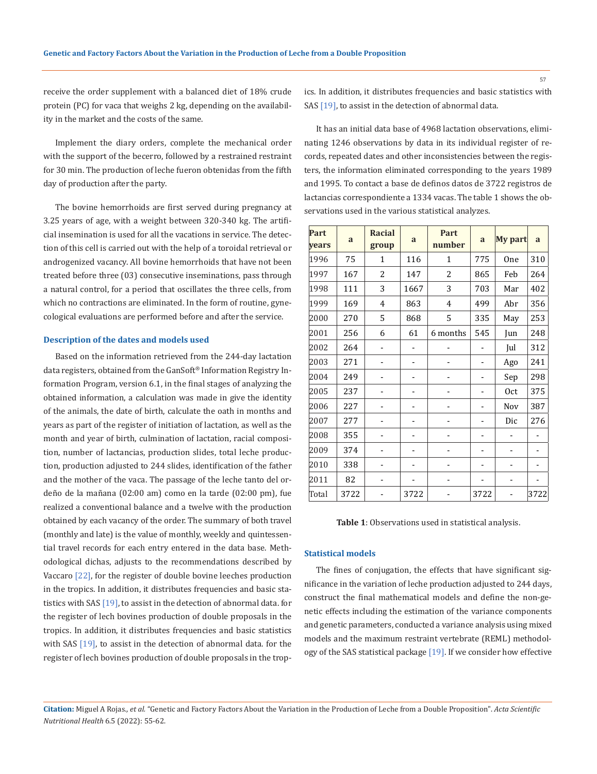receive the order supplement with a balanced diet of 18% crude protein (PC) for vaca that weighs 2 kg, depending on the availability in the market and the costs of the same.

Implement the diary orders, complete the mechanical order with the support of the becerro, followed by a restrained restraint for 30 min. The production of leche fueron obtenidas from the fifth day of production after the party.

The bovine hemorrhoids are first served during pregnancy at 3.25 years of age, with a weight between 320-340 kg. The artificial insemination is used for all the vacations in service. The detection of this cell is carried out with the help of a toroidal retrieval or androgenized vacancy. All bovine hemorrhoids that have not been treated before three (03) consecutive inseminations, pass through a natural control, for a period that oscillates the three cells, from which no contractions are eliminated. In the form of routine, gynecological evaluations are performed before and after the service.

#### **Description of the dates and models used**

Based on the information retrieved from the 244-day lactation data registers, obtained from the GanSoft® Information Registry Information Program, version 6.1, in the final stages of analyzing the obtained information, a calculation was made in give the identity of the animals, the date of birth, calculate the oath in months and years as part of the register of initiation of lactation, as well as the month and year of birth, culmination of lactation, racial composition, number of lactancias, production slides, total leche production, production adjusted to 244 slides, identification of the father and the mother of the vaca. The passage of the leche tanto del ordeño de la mañana (02:00 am) como en la tarde (02:00 pm), fue realized a conventional balance and a twelve with the production obtained by each vacancy of the order. The summary of both travel (monthly and late) is the value of monthly, weekly and quintessential travel records for each entry entered in the data base. Methodological dichas, adjusts to the recommendations described by Vaccaro [22], for the register of double bovine leeches production in the tropics. In addition, it distributes frequencies and basic statistics with SAS [19], to assist in the detection of abnormal data. for the register of lech bovines production of double proposals in the tropics. In addition, it distributes frequencies and basic statistics with SAS [19], to assist in the detection of abnormal data. for the register of lech bovines production of double proposals in the tropics. In addition, it distributes frequencies and basic statistics with SAS [19], to assist in the detection of abnormal data.

It has an initial data base of 4968 lactation observations, eliminating 1246 observations by data in its individual register of records, repeated dates and other inconsistencies between the registers, the information eliminated corresponding to the years 1989 and 1995. To contact a base de definos datos de 3722 registros de lactancias correspondiente a 1334 vacas. The table 1 shows the observations used in the various statistical analyzes.

| Part<br>vears | a    | <b>Racial</b><br>group | a    | Part<br>number | a    | My part | a    |
|---------------|------|------------------------|------|----------------|------|---------|------|
| 1996          | 75   | $\mathbf{1}$           | 116  | 1              | 775  | One     | 310  |
| 1997          | 167  | $\overline{2}$         | 147  | 2              | 865  | Feb     | 264  |
| 1998          | 111  | 3                      | 1667 | 3              | 703  | Mar     | 402  |
| 1999          | 169  | $\overline{4}$         | 863  | 4              | 499  | Abr     | 356  |
| 2000          | 270  | 5                      | 868  | 5              | 335  | May     | 253  |
| 2001          | 256  | 6                      | 61   | 6 months       | 545  | Jun     | 248  |
| 2002          | 264  |                        |      |                |      | Jul     | 312  |
| 2003          | 271  |                        |      |                |      | Ago     | 241  |
| 2004          | 249  |                        |      |                |      | Sep     | 298  |
| 2005          | 237  |                        |      |                |      | 0ct     | 375  |
| 2006          | 227  |                        |      |                |      | Nov     | 387  |
| 2007          | 277  |                        |      |                |      | Dic     | 276  |
| 2008          | 355  |                        |      |                |      |         |      |
| 2009          | 374  |                        |      |                |      |         |      |
| 2010          | 338  |                        |      |                |      |         |      |
| 2011          | 82   |                        |      |                |      |         |      |
| Total         | 3722 |                        | 3722 |                | 3722 |         | 3722 |

**Table 1**: Observations used in statistical analysis.

#### **Statistical models**

The fines of conjugation, the effects that have significant significance in the variation of leche production adjusted to 244 days, construct the final mathematical models and define the non-genetic effects including the estimation of the variance components and genetic parameters, conducted a variance analysis using mixed models and the maximum restraint vertebrate (REML) methodology of the SAS statistical package [19]. If we consider how effective

**Citation:** Miguel A Rojas*., et al.* "Genetic and Factory Factors About the Variation in the Production of Leche from a Double Proposition". *Acta Scientific Nutritional Health* 6.5 (2022): 55-62.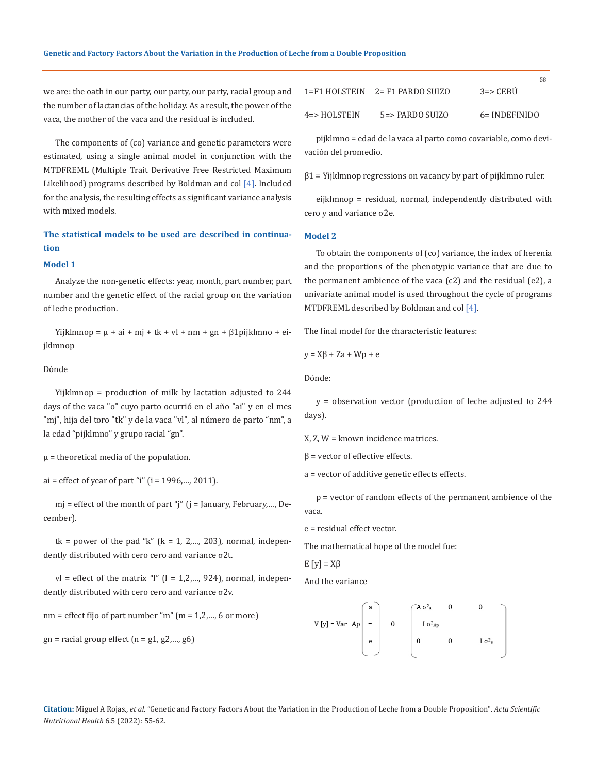we are: the oath in our party, our party, our party, racial group and the number of lactancias of the holiday. As a result, the power of the vaca, the mother of the vaca and the residual is included.

The components of (co) variance and genetic parameters were estimated, using a single animal model in conjunction with the MTDFREML (Multiple Trait Derivative Free Restricted Maximum Likelihood) programs described by Boldman and col [4]. Included for the analysis, the resulting effects as significant variance analysis with mixed models.

## **The statistical models to be used are described in continuation**

#### **Model 1**

Analyze the non-genetic effects: year, month, part number, part number and the genetic effect of the racial group on the variation of leche production.

Yijklmnop =  $\mu$  + ai + mj + tk + vl + nm + gn +  $\beta$ 1pijklmno + eijklmnop

#### Dónde

Yijklmnop = production of milk by lactation adjusted to 244 days of the vaca "o" cuyo parto ocurrió en el año "ai" y en el mes "mj", hija del toro "tk" y de la vaca "vl", al número de parto "nm", a la edad "pijklmno" y grupo racial "gn".

 $\mu$  = theoretical media of the population.

 $ai = effect of year of part "i" (i = 1996,..., 2011).$ 

mj = effect of the month of part "j" (j = January, February,…, December).

tk = power of the pad "k" ( $k = 1, 2,..., 203$ ), normal, independently distributed with cero cero and variance σ2t.

 $vl =$  effect of the matrix "l" (l = 1,2,..., 924), normal, independently distributed with cero cero and variance σ2v.

 $nm =$  effect fijo of part number "m"  $(m = 1, 2, ..., 6$  or more)

$$
gn =
$$
racial group effect  $(n = g1, g2,..., g6)$ 

|              | 1=F1 HOLSTEIN 2= F1 PARDO SUIZO | .<br>$3 \Rightarrow$ CEBU |
|--------------|---------------------------------|---------------------------|
| 4=> HOLSTEIN | $5 = >$ PARDO SUIZO             | $6=$ INDEFINIDO           |

 $58$ 

pijklmno = edad de la vaca al parto como covariable, como devivación del promedio.

 $\beta$ 1 = Yijklmnop regressions on vacancy by part of pijklmno ruler.

eijklmnop = residual, normal, independently distributed with cero y and variance σ2e.

#### **Model 2**

To obtain the components of (co) variance, the index of herenia and the proportions of the phenotypic variance that are due to the permanent ambience of the vaca (c2) and the residual (e2), a univariate animal model is used throughout the cycle of programs MTDFREML described by Boldman and col [4].

The final model for the characteristic features:

$$
y = X\beta + Za + Wp + e
$$

Dónde:

y = observation vector (production of leche adjusted to 244 days).

X, Z, W = known incidence matrices.

```
β = vector of effective effects.
```
a = vector of additive genetic effects effects.

p = vector of random effects of the permanent ambience of the vaca.

```
e = residual effect vector.
```
The mathematical hope of the model fue:

$$
E[y] = X\beta
$$

And the variance

$$
V[y] = Var \tAp \begin{bmatrix} a \\ = \\ e \\ e \end{bmatrix} \t0 \t\t \begin{bmatrix} A \sigma_{a}^{2} & 0 & 0 \\ 0 & 1 \sigma_{ap}^{2} \\ 0 & 0 & 1 \sigma_{e}^{2} \end{bmatrix}
$$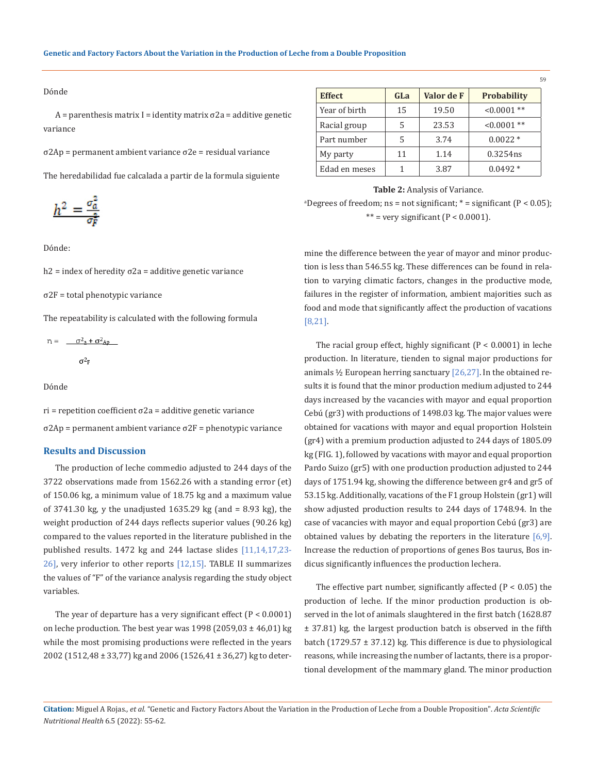#### Dónde

 $A =$  parenthesis matrix I = identity matrix  $σ2a =$  additive genetic variance

σ2Ap = permanent ambient variance σ2e = residual variance

The heredabilidad fue calcalada a partir de la formula siguiente

$$
h^2 = \frac{\sigma_a^2}{\sigma_F^2}
$$

Dónde:

 $h2$  = index of heredity σ2a = additive genetic variance

σ2F = total phenotypic variance

The repeatability is calculated with the following formula

$$
r_i = \frac{\sigma_{a}^2 + \sigma_{ap}^2}{\sigma_{F}^2}
$$

Dónde

 $ri$  = repetition coefficient  $\sigma$ 2a = additive genetic variance σ2Ap = permanent ambient variance σ2F = phenotypic variance

#### **Results and Discussion**

The production of leche commedio adjusted to 244 days of the 3722 observations made from 1562.26 with a standing error (et) of 150.06 kg, a minimum value of 18.75 kg and a maximum value of 3741.30 kg, y the unadjusted 1635.29 kg (and = 8.93 kg), the weight production of 244 days reflects superior values (90.26 kg) compared to the values reported in the literature published in the published results. 1472 kg and 244 lactase slides [11,14,17,23- 26], very inferior to other reports [12,15]. TABLE II summarizes the values of "F" of the variance analysis regarding the study object variables.

The year of departure has a very significant effect  $(P < 0.0001)$ on leche production. The best year was  $1998$  (2059,03  $\pm$  46,01) kg while the most promising productions were reflected in the years 2002 (1512,48 ± 33,77) kg and 2006 (1526,41 ± 36,27) kg to deter-

| <b>Effect</b> | GLa | Valor de F | <b>Probability</b> |  |
|---------------|-----|------------|--------------------|--|
| Year of birth | 15  | 19.50      | $0.0001**$         |  |
| Racial group  | 5   | 23.53      | $0.0001**$         |  |
| Part number   | 5   | 3.74       | $0.0022*$          |  |
| My party      | 11  | 1.14       | 0.3254ns           |  |
| Edad en meses |     | 3.87       | $0.0492*$          |  |

59

#### **Table 2:** Analysis of Variance.

 ${}^{a}$ Degrees of freedom; ns = not significant;  ${}^{*}$  = significant (P < 0.05); \*\* = very significant  $(P < 0.0001)$ .

mine the difference between the year of mayor and minor production is less than 546.55 kg. These differences can be found in relation to varying climatic factors, changes in the productive mode, failures in the register of information, ambient majorities such as food and mode that significantly affect the production of vacations [8,21].

The racial group effect, highly significant  $(P < 0.0001)$  in leche production. In literature, tienden to signal major productions for animals  $\frac{1}{2}$  European herring sanctuary [26,27]. In the obtained results it is found that the minor production medium adjusted to 244 days increased by the vacancies with mayor and equal proportion Cebú (gr3) with productions of 1498.03 kg. The major values were obtained for vacations with mayor and equal proportion Holstein (gr4) with a premium production adjusted to 244 days of 1805.09 kg (FIG. 1), followed by vacations with mayor and equal proportion Pardo Suizo (gr5) with one production production adjusted to 244 days of 1751.94 kg, showing the difference between gr4 and gr5 of 53.15 kg. Additionally, vacations of the F1 group Holstein (gr1) will show adjusted production results to 244 days of 1748.94. In the case of vacancies with mayor and equal proportion Cebú (gr3) are obtained values by debating the reporters in the literature [6,9]. Increase the reduction of proportions of genes Bos taurus, Bos indicus significantly influences the production lechera.

The effective part number, significantly affected  $(P < 0.05)$  the production of leche. If the minor production production is observed in the lot of animals slaughtered in the first batch (1628.87 ± 37.81) kg, the largest production batch is observed in the fifth batch (1729.57  $\pm$  37.12) kg. This difference is due to physiological reasons, while increasing the number of lactants, there is a proportional development of the mammary gland. The minor production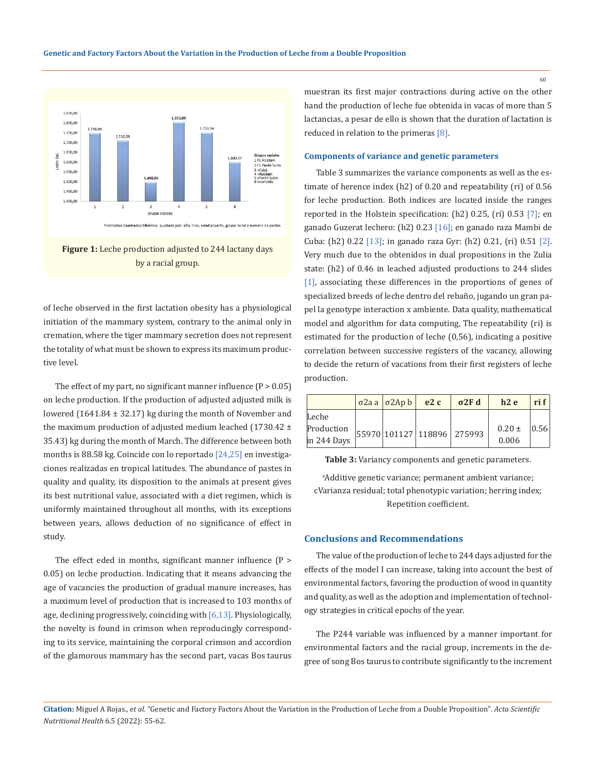

**Figure 1:** Leche production adjusted to 244 lactany days by a racial group.

of leche observed in the first lactation obesity has a physiological initiation of the mammary system, contrary to the animal only in cremation, where the tiger mammary secretion does not represent the totality of what must be shown to express its maximum productive level.

The effect of my part, no significant manner influence  $(P > 0.05)$ on leche production. If the production of adjusted adjusted milk is lowered (1641.84 ± 32.17) kg during the month of November and the maximum production of adjusted medium leached  $(1730.42 \pm$ 35.43) kg during the month of March. The difference between both months is 88.58 kg. Coincide con lo reportado  $[24,25]$  en investigaciones realizadas en tropical latitudes. The abundance of pastes in quality and quality, its disposition to the animals at present gives its best nutritional value, associated with a diet regimen, which is uniformly maintained throughout all months, with its exceptions between years, allows deduction of no significance of effect in study.

The effect eded in months, significant manner influence (P > 0.05) on leche production. Indicating that it means advancing the age of vacancies the production of gradual manure increases, has a maximum level of production that is increased to 103 months of age, declining progressively, coinciding with  $[6,13]$ . Physiologically, the novelty is found in crimson when reproducingly corresponding to its service, maintaining the corporal crimson and accordion of the glamorous mammary has the second part, vacas Bos taurus

muestran its first major contractions during active on the other hand the production of leche fue obtenida in vacas of more than 5 lactancias, a pesar de ello is shown that the duration of lactation is reduced in relation to the primeras [8].

## **Components of variance and genetic parameters**

Table 3 summarizes the variance components as well as the estimate of herence index (h2) of 0.20 and repeatability (ri) of 0.56 for leche production. Both indices are located inside the ranges reported in the Holstein specification: (h2) 0.25, (ri) 0.53 [7]; en ganado Guzerat lechero: (h2) 0.23 [16]; en ganado raza Mambi de Cuba: (h2) 0.22 [13]; in ganado raza Gyr: (h2) 0.21, (ri) 0.51 [2]. Very much due to the obtenidos in dual propositions in the Zulia state: (h2) of 0.46 in leached adjusted productions to 244 slides [1], associating these differences in the proportions of genes of specialized breeds of leche dentro del rebaño, jugando un gran papel la genotype interaction x ambiente. Data quality, mathematical model and algorithm for data computing, The repeatability (ri) is estimated for the production of leche (0,56), indicating a positive correlation between successive registers of the vacancy, allowing to decide the return of vacations from their first registers of leche production.

|             |  | $\sigma$ 2a a $\sigma$ 2Ap b | e2c | $\sigma$ <sub>2F</sub> d   | h2e        | ri f |
|-------------|--|------------------------------|-----|----------------------------|------------|------|
| Leche       |  |                              |     |                            |            |      |
| Production  |  |                              |     | 55970 101127 118896 275993 | $0.20 \pm$ | 0.56 |
| in 244 Days |  |                              |     |                            | 0.006      |      |

**Table 3:** Variancy components and genetic parameters.

a Additive genetic variance; permanent ambient variance; cVarianza residual; total phenotypic variation; herring index; Repetition coefficient.

## **Conclusions and Recommendations**

The value of the production of leche to 244 days adjusted for the effects of the model I can increase, taking into account the best of environmental factors, favoring the production of wood in quantity and quality, as well as the adoption and implementation of technology strategies in critical epochs of the year.

The P244 variable was influenced by a manner important for environmental factors and the racial group, increments in the degree of song Bos taurus to contribute significantly to the increment

**Citation:** Miguel A Rojas*., et al.* "Genetic and Factory Factors About the Variation in the Production of Leche from a Double Proposition". *Acta Scientific Nutritional Health* 6.5 (2022): 55-62.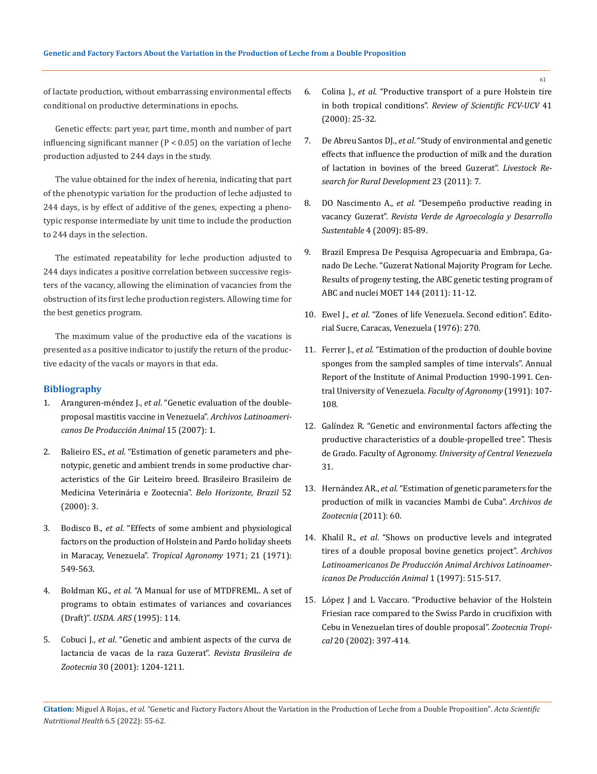of lactate production, without embarrassing environmental effects conditional on productive determinations in epochs.

Genetic effects: part year, part time, month and number of part influencing significant manner  $(P < 0.05)$  on the variation of leche production adjusted to 244 days in the study.

The value obtained for the index of herenia, indicating that part of the phenotypic variation for the production of leche adjusted to 244 days, is by effect of additive of the genes, expecting a phenotypic response intermediate by unit time to include the production to 244 days in the selection.

The estimated repeatability for leche production adjusted to 244 days indicates a positive correlation between successive registers of the vacancy, allowing the elimination of vacancies from the obstruction of its first leche production registers. Allowing time for the best genetics program.

The maximum value of the productive eda of the vacations is presented as a positive indicator to justify the return of the productive edacity of the vacals or mayors in that eda.

#### **Bibliography**

- 1. Aranguren-méndez J., *et al*. "Genetic evaluation of the doubleproposal mastitis vaccine in Venezuela". *Archivos Latinoamericanos De Producción Animal* 15 (2007): 1.
- 2. Balieiro ES., *et al*. "Estimation of genetic parameters and phenotypic, genetic and ambient trends in some productive characteristics of the Gir Leiteiro breed. Brasileiro Brasileiro de Medicina Veterinária e Zootecnia". *Belo Horizonte, Brazil* 52 (2000): 3.
- 3. Bodisco B., *et al*. "Effects of some ambient and physiological factors on the production of Holstein and Pardo holiday sheets in Maracay, Venezuela". *Tropical Agronomy* 1971; 21 (1971): 549-563.
- 4. Boldman KG., *et al*[. "A Manual for use of MTDFREML. A set of](https://www.researchgate.net/publication/281307227_A_Manual_for_Use_of_MTDFREML_-_a_Set_of_Programs_to_Obtain_Estimates_of_Variances_and_Covariances_draft)  [programs to obtain estimates of variances and covariances](https://www.researchgate.net/publication/281307227_A_Manual_for_Use_of_MTDFREML_-_a_Set_of_Programs_to_Obtain_Estimates_of_Variances_and_Covariances_draft)  (Draft)". *[USDA. ARS](https://www.researchgate.net/publication/281307227_A_Manual_for_Use_of_MTDFREML_-_a_Set_of_Programs_to_Obtain_Estimates_of_Variances_and_Covariances_draft)* (1995): 114.
- 5. Cobuci J., *et al*. "Genetic and ambient aspects of the curva de lactancia de vacas de la raza Guzerat". *Revista Brasileira de Zootecnia* 30 (2001): 1204-1211.
- 6. Colina J., *et al*. "Productive transport of a pure Holstein tire in both tropical conditions". *Review of Scientific FCV-UCV* 41 (2000): 25-32.
- 7. De Abreu Santos DJ., *et al*[. "Study of environmental and genetic](http://www.lrrd.org/lrrd23/7/sant23157.htm)  [effects that influence the production of milk and the duration](http://www.lrrd.org/lrrd23/7/sant23157.htm)  [of lactation in bovines of the breed Guzerat".](http://www.lrrd.org/lrrd23/7/sant23157.htm) *Livestock Re[search for Rural Development](http://www.lrrd.org/lrrd23/7/sant23157.htm)* 23 (2011): 7.
- 8. DO Nascimento A., *et al*. "Desempeño productive reading in vacancy Guzerat". *Revista Verde de Agroecología y Desarrollo Sustentable* 4 (2009): 85-89.
- 9. Brazil Empresa De Pesquisa Agropecuaria and Embrapa, Ganado De Leche. "Guzerat National Majority Program for Leche. Results of progeny testing, the ABC genetic testing program of ABC and nuclei MOET 144 (2011): 11-12.
- 10. Ewel J., *et al*. "Zones of life Venezuela. Second edition". Editorial Sucre, Caracas, Venezuela (1976): 270.
- 11. Ferrer J., *et al*. "Estimation of the production of double bovine sponges from the sampled samples of time intervals". Annual Report of the Institute of Animal Production 1990-1991. Central University of Venezuela. *Faculty of Agronomy* (1991): 107- 108.
- 12. Galíndez R. "Genetic and environmental factors affecting the productive characteristics of a double-propelled tree". Thesis de Grado. Faculty of Agronomy. *University of Central Venezuela* 31.
- 13. Hernández AR., *et al*. "Estimation of genetic parameters for the production of milk in vacancies Mambi de Cuba". *Archivos de Zootecnia* (2011): 60.
- 14. Khalil R., *et al*. "Shows on productive levels and integrated tires of a double proposal bovine genetics project". *Archivos Latinoamericanos De Producción Animal Archivos Latinoamericanos De Producción Animal* 1 (1997): 515-517.
- 15. López J and L Vaccaro. "Productive behavior of the Holstein Friesian race compared to the Swiss Pardo in crucifixion with Cebu in Venezuelan tires of double proposal". *Zootecnia Tropical* 20 (2002): 397-414.